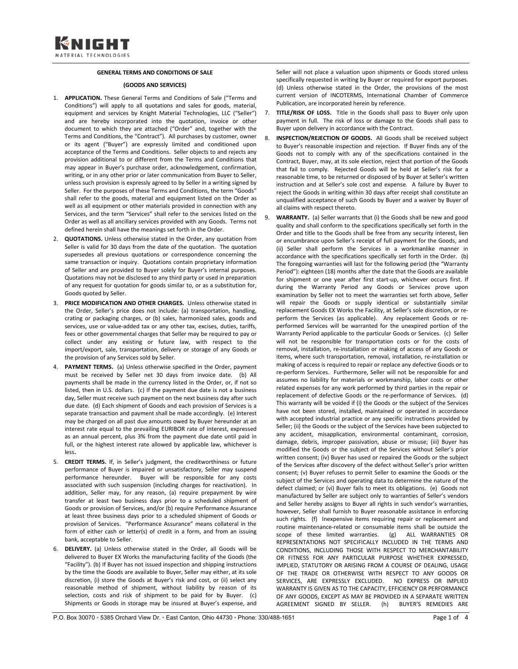## **GENERAL TERMS AND CONDITIONS OF SALE**

## **(GOODS AND SERVICES)**

- 1. **APPLICATION.** These General Terms and Conditions of Sale ("Terms and Conditions") will apply to all quotations and sales for goods, material, equipment and services by Knight Material Technologies, LLC ("Seller") and are hereby incorporated into the quotation, invoice or other document to which they are attached ("Order" and, together with the Terms and Conditions, the "Contract"). All purchases by customer, owner or its agent ("Buyer") are expressly limited and conditioned upon acceptance of the Terms and Conditions. Seller objects to and rejects any provision additional to or different from the Terms and Conditions that may appear in Buyer's purchase order, acknowledgement, confirmation, writing, or in any other prior or later communication from Buyer to Seller, unless such provision is expressly agreed to by Seller in a writing signed by Seller. For the purposes of these Terms and Conditions, the term "Goods" shall refer to the goods, material and equipment listed on the Order as well as all equipment or other materials provided in connection with any Services, and the term "Services" shall refer to the services listed on the Order as well as all ancillary services provided with any Goods. Terms not defined herein shall have the meanings set forth in the Order.
- 2. **QUOTATIONS.** Unless otherwise stated in the Order, any quotation from Seller is valid for 30 days from the date of the quotation. The quotation supersedes all previous quotations or correspondence concerning the same transaction or inquiry. Quotations contain proprietary information of Seller and are provided to Buyer solely for Buyer's internal purposes. Quotations may not be disclosed to any third party or used in preparation of any request for quotation for goods similar to, or as a substitution for, Goods quoted by Seller.
- 3. **PRICE MODIFICATION AND OTHER CHARGES.** Unless otherwise stated in the Order, Seller's price does not include: (a) transportation, handling, crating or packaging charges, or (b) sales, harmonized sales, goods and services, use or value-added tax or any other tax, excises, duties, tariffs, fees or other governmental charges that Seller may be required to pay or collect under any existing or future law, with respect to the import/export, sale, transportation, delivery or storage of any Goods or the provision of any Services sold by Seller.
- 4. **PAYMENT TERMS.** (a) Unless otherwise specified in the Order, payment must be received by Seller net 30 days from invoice date. (b) All payments shall be made in the currency listed in the Order, or, if not so listed, then in U.S. dollars. (c) If the payment due date is not a business day, Seller must receive such payment on the next business day after such due date. (d) Each shipment of Goods and each provision of Services is a separate transaction and payment shall be made accordingly. (e) Interest may be charged on all past due amounts owed by Buyer hereunder at an interest rate equal to the prevailing EURIBOR rate of interest, expressed as an annual percent, plus 3% from the payment due date until paid in full, or the highest interest rate allowed by applicable law, whichever is less**.**
- 5. **CREDIT TERMS.** If, in Seller's judgment, the creditworthiness or future performance of Buyer is impaired or unsatisfactory, Seller may suspend performance hereunder. Buyer will be responsible for any costs associated with such suspension (including charges for reactivation). In addition, Seller may, for any reason, (a) require prepayment by wire transfer at least two business days prior to a scheduled shipment of Goods or provision of Services, and/or (b) require Performance Assurance at least three business days prior to a scheduled shipment of Goods or provision of Services. "Performance Assurance" means collateral in the form of either cash or letter(s) of credit in a form, and from an issuing bank, acceptable to Seller.
- 6. **DELIVERY.** (a) Unless otherwise stated in the Order, all Goods will be delivered to Buyer EX Works the manufacturing facility of the Goods (the "Facility"). (b) If Buyer has not issued inspection and shipping instructions by the time the Goods are available to Buyer, Seller may either, at its sole discretion, (i) store the Goods at Buyer's risk and cost, or (ii) select any reasonable method of shipment, without liability by reason of its selection, costs and risk of shipment to be paid for by Buyer. (c) Shipments or Goods in storage may be insured at Buyer's expense, and

Seller will not place a valuation upon shipments or Goods stored unless specifically requested in writing by Buyer or required for export purposes. (d) Unless otherwise stated in the Order, the provisions of the most current version of INCOTERMS, International Chamber of Commerce Publication, are incorporated herein by reference.

- 7. **TITLE/RISK OF LOSS.** Title in the Goods shall pass to Buyer only upon payment in full. The risk of loss or damage to the Goods shall pass to Buyer upon delivery in accordance with the Contract.
- 8. **INSPECTION/REJECTION OF GOODS.** All Goods shall be received subject to Buyer's reasonable inspection and rejection. If Buyer finds any of the Goods not to comply with any of the specifications contained in the Contract, Buyer, may, at its sole election, reject that portion of the Goods that fail to comply. Rejected Goods will be held at Seller's risk for a reasonable time, to be returned or disposed of by Buyer at Seller's written instruction and at Seller's sole cost and expense. A failure by Buyer to reject the Goods in writing within 30 days after receipt shall constitute an unqualified acceptance of such Goods by Buyer and a waiver by Buyer of all claims with respect thereto.
- 9. **WARRANTY.** (a) Seller warrants that (i) the Goods shall be new and good quality and shall conform to the specifications specifically set forth in the Order and title to the Goods shall be free from any security interest, lien or encumbrance upon Seller's receipt of full payment for the Goods, and (ii) Seller shall perform the Services in a workmanlike manner in accordance with the specifications specifically set forth in the Order. (b) The foregoing warranties will last for the following period (the "Warranty Period"): eighteen (18) months after the date that the Goods are available for shipment or one year after first start-up, whichever occurs first. If during the Warranty Period any Goods or Services prove upon examination by Seller not to meet the warranties set forth above, Seller will repair the Goods or supply identical or substantially similar replacement Goods EX Works the Facility, at Seller's sole discretion, or reperform the Services (as applicable). Any replacement Goods or reperformed Services will be warranted for the unexpired portion of the Warranty Period applicable to the particular Goods or Services. (c) Seller will not be responsible for transportation costs or for the costs of removal, installation, re-installation or making of access of any Goods or items, where such transportation, removal, installation, re-installation or making of access is required to repair or replace any defective Goods or to re-perform Services. Furthermore, Seller will not be responsible for and assumes no liability for materials or workmanship, labor costs or other related expenses for any work performed by third parties in the repair or replacement of defective Goods or the re-performance of Services. (d) This warranty will be voided if (i) the Goods or the subject of the Services have not been stored, installed, maintained or operated in accordance with accepted industrial practice or any specific instructions provided by Seller; (ii) the Goods or the subject of the Services have been subjected to any accident, misapplication, environmental contaminant, corrosion, damage, debris, improper passivation, abuse or misuse; (iii) Buyer has modified the Goods or the subject of the Services without Seller's prior written consent; (iv) Buyer has used or repaired the Goods or the subject of the Services after discovery of the defect without Seller's prior written consent; (v) Buyer refuses to permit Seller to examine the Goods or the subject of the Services and operating data to determine the nature of the defect claimed; or (vi) Buyer fails to meet its obligations. (e) Goods not manufactured by Seller are subject only to warranties of Seller's vendors and Seller hereby assigns to Buyer all rights in such vendor's warranties, however, Seller shall furnish to Buyer reasonable assistance in enforcing such rights. (f) Inexpensive items requiring repair or replacement and routine maintenance-related or consumable items shall be outside the scope of these limited warranties. (g) ALL WARRANTIES OR REPRESENTATIONS NOT SPECIFICALLY INCLUDED IN THE TERMS AND CONDITIONS, INCLUDING THOSE WITH RESPECT TO MERCHANTABILITY OR FITNESS FOR ANY PARTICULAR PURPOSE WHETHER EXPRESSED, IMPLIED, STATUTORY OR ARISING FROM A COURSE OF DEALING, USAGE OF THE TRADE OR OTHERWISE WITH RESPECT TO ANY GOODS OR SERVICES, ARE EXPRESSLY EXCLUDED. NO EXPRESS OR IMPLIED WARRANTY IS GIVEN AS TO THE CAPACITY, EFFICIENCY OR PERFORMANCE OF ANY GOODS, EXCEPT AS MAY BE PROVIDED IN A SEPARATE WRITTEN AGREEMENT SIGNED BY SELLER. (h) BUYER'S REMEDIES ARE
- P.O. Box 30070 □ 5385 Orchard View Dr. □ East Canton, Ohio 44730 □ Phone: 330/488-1651 Page 1 of 4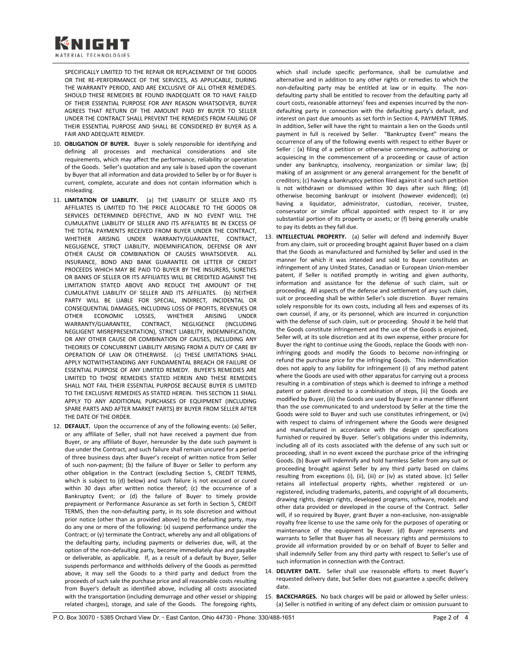SPECIFICALLY LIMITED TO THE REPAIR OR REPLACEMENT OF THE GOODS OR THE RE-PERFORMANCE OF THE SERVICES, AS APPLICABLE, DURING THE WARRANTY PERIOD, AND ARE EXCLUSIVE OF ALL OTHER REMEDIES. SHOULD THESE REMEDIES BE FOUND INADEQUATE OR TO HAVE FAILED OF THEIR ESSENTIAL PURPOSE FOR ANY REASON WHATSOEVER, BUYER AGREES THAT RETURN OF THE AMOUNT PAID BY BUYER TO SELLER UNDER THE CONTRACT SHALL PREVENT THE REMEDIES FROM FAILING OF THEIR ESSENTIAL PURPOSE AND SHALL BE CONSIDERED BY BUYER AS A FAIR AND ADEQUATE REMEDY.

- 10. **OBLIGATION OF BUYER.** Buyer is solely responsible for identifying and defining all processes and mechanical considerations and site requirements, which may affect the performance, reliability or operation of the Goods. Seller's quotation and any sale is based upon the covenant by Buyer that all information and data provided to Seller by or for Buyer is current, complete, accurate and does not contain information which is misleading.
- 11. **LIMITATION OF LIABILITY.** (a) THE LIABILITY OF SELLER AND ITS AFFILIATES IS LIMITED TO THE PRICE ALLOCABLE TO THE GOODS OR SERVICES DETERMINED DEFECTIVE, AND IN NO EVENT WILL THE CUMULATIVE LIABILITY OF SELLER AND ITS AFFILIATES BE IN EXCESS OF THE TOTAL PAYMENTS RECEIVED FROM BUYER UNDER THE CONTRACT, WHETHER ARISING UNDER WARRANTY/GUARANTEE, CONTRACT, NEGLIGENCE, STRICT LIABILITY, INDEMNIFICATION, DEFENSE OR ANY OTHER CAUSE OR COMBINATION OF CAUSES WHATSOEVER. ALL INSURANCE, BOND AND BANK GUARANTEE OR LETTER OF CREDIT PROCEEDS WHICH MAY BE PAID TO BUYER BY THE INSURERS, SURETIES OR BANKS OF SELLER OR ITS AFFILIATES WILL BE CREDITED AGAINST THE LIMITATION STATED ABOVE AND REDUCE THE AMOUNT OF THE CUMULATIVE LIABILITY OF SELLER AND ITS AFFILIATES. (b) NEITHER PARTY WILL BE LIABLE FOR SPECIAL, INDIRECT, INCIDENTAL OR CONSEQUENTIAL DAMAGES, INCLUDING LOSS OF PROFITS, REVENUES OR<br>OTHER FICONOMIC LOSSES, WHETHER ARISING UNDER OTHER ECONOMIC LOSSES, WHETHER ARISING UNDER WARRANTY/GUARANTEE, CONTRACT, NEGLIGENCE (INCLUDING NEGLIGENT MISREPRESENTATION), STRICT LIABILITY, INDEMNIFICATION, OR ANY OTHER CAUSE OR COMBINATION OF CAUSES, INCLUDING ANY THEORIES OF CONCURRENT LIABILITY ARISING FROM A DUTY OF CARE BY OPERATION OF LAW OR OTHERWISE. (c) THESE LIMITATIONS SHALL APPLY NOTWITHSTANDING ANY FUNDAMENTAL BREACH OR FAILURE OF ESSENTIAL PURPOSE OF ANY LIMITED REMEDY. BUYER'S REMEDIES ARE LIMITED TO THOSE REMEDIES STATED HEREIN AND THESE REMEDIES SHALL NOT FAIL THEIR ESSENTIAL PURPOSE BECAUSE BUYER IS LIMITED TO THE EXCLUSIVE REMEDIES AS STATED HEREIN. THIS SECTION 11 SHALL APPLY TO ANY ADDITIONAL PURCHASES OF EQUIPMENT (INCLUDING SPARE PARTS AND AFTER MARKET PARTS) BY BUYER FROM SELLER AFTER THE DATE OF THE ORDER.
- 12. **DEFAULT.** Upon the occurrence of any of the following events: (a) Seller, or any affiliate of Seller, shall not have received a payment due from Buyer, or any affiliate of Buyer, hereunder by the date such payment is due under the Contract, and such failure shall remain uncured for a period of three business days after Buyer's receipt of written notice from Seller of such non-payment; (b) the failure of Buyer or Seller to perform any other obligation in the Contract (excluding Section 5, CREDIT TERMS, which is subject to (d) below) and such failure is not excused or cured within 30 days after written notice thereof; (c) the occurrence of a Bankruptcy Event; or (d) the failure of Buyer to timely provide prepayment or Performance Assurance as set forth in Section 5, CREDIT TERMS, then the non-defaulting party, in its sole discretion and without prior notice (other than as provided above) to the defaulting party, may do any one or more of the following: (x) suspend performance under the Contract; or (y) terminate the Contract, whereby any and all obligations of the defaulting party, including payments or deliveries due, will, at the option of the non-defaulting party, become immediately due and payable or deliverable, as applicable. If, as a result of a default by Buyer, Seller suspends performance and withholds delivery of the Goods as permitted above, it may sell the Goods to a third party and deduct from the proceeds of such sale the purchase price and all reasonable costs resulting from Buyer's default as identified above, including all costs associated with the transportation (including demurrage and other vessel or shipping related charges), storage, and sale of the Goods. The foregoing rights,

which shall include specific performance, shall be cumulative and alternative and in addition to any other rights or remedies to which the non-defaulting party may be entitled at law or in equity. The nondefaulting party shall be entitled to recover from the defaulting party all court costs, reasonable attorneys' fees and expenses incurred by the nondefaulting party in connection with the defaulting party's default, and interest on past due amounts as set forth in Section 4, PAYMENT TERMS. In addition, Seller will have the right to maintain a lien on the Goods until payment in full is received by Seller. "Bankruptcy Event" means the occurrence of any of the following events with respect to either Buyer or Seller : (a) filing of a petition or otherwise commencing, authorizing or acquiescing in the commencement of a proceeding or cause of action under any bankruptcy, insolvency, reorganization or similar law; (b) making of an assignment or any general arrangement for the benefit of creditors; (c) having a bankruptcy petition filed against it and such petition is not withdrawn or dismissed within 30 days after such filing; (d) otherwise becoming bankrupt or insolvent (however evidenced); (e) having a liquidator, administrator, custodian, receiver, trustee, conservator or similar official appointed with respect to it or any substantial portion of its property or assets; or (f) being generally unable to pay its debts as they fall due.

- 13. **INTELLECTUAL PROPERTY.** (a) Seller will defend and indemnify Buyer from any claim, suit or proceeding brought against Buyer based on a claim that the Goods as manufactured and furnished by Seller and used in the manner for which it was intended and sold to Buyer constitutes an infringement of any United States, Canadian or European Union-member patent, if Seller is notified promptly in writing and given authority, information and assistance for the defense of such claim, suit or proceeding. All aspects of the defense and settlement of any such claim, suit or proceeding shall be within Seller's sole discretion. Buyer remains solely responsible for its own costs, including all fees and expenses of its own counsel, if any, or its personnel, which are incurred in conjunction with the defense of such claim, suit or proceeding. Should it be held that the Goods constitute infringement and the use of the Goods is enjoined, Seller will, at its sole discretion and at its own expense, either procure for Buyer the right to continue using the Goods, replace the Goods with noninfringing goods and modify the Goods to become non-infringing or refund the purchase price for the infringing Goods. This indemnification does not apply to any liability for infringement (i) of any method patent where the Goods are used with other apparatus for carrying out a process resulting in a combination of steps which is deemed to infringe a method patent or patent directed to a combination of steps, (ii) the Goods are modified by Buyer, (iii) the Goods are used by Buyer in a manner different than the use communicated to and understood by Seller at the time the Goods were sold to Buyer and such use constitutes infringement, or (iv) with respect to claims of infringement where the Goods were designed and manufactured in accordance with the design or specifications furnished or required by Buyer. Seller's obligations under this indemnity, including all of its costs associated with the defense of any such suit or proceeding, shall in no event exceed the purchase price of the infringing Goods. (b) Buyer will indemnify and hold harmless Seller from any suit or proceeding brought against Seller by any third party based on claims resulting from exceptions (i), (ii), (iii) or (iv) as stated above. (c) Seller retains all intellectual property rights, whether registered or unregistered, including trademarks, patents, and copyright of all documents, drawing rights, design rights, developed programs, software, models and other data provided or developed in the course of the Contract. Seller will, if so required by Buyer, grant Buyer a non-exclusive, non-assignable royalty free license to use the same only for the purposes of operating or maintenance of the equipment by Buyer. (d) Buyer represents and warrants to Seller that Buyer has all necessary rights and permissions to provide all information provided by or on behalf of Buyer to Seller and shall indemnify Seller from any third party with respect to Seller's use of such information in connection with the Contract.
- 14. **DELIVERY DATE.** Seller shall use reasonable efforts to meet Buyer's requested delivery date, but Seller does not guarantee a specific delivery date.
- 15. **BACKCHARGES.** No back charges will be paid or allowed by Seller unless: (a) Seller is notified in writing of any defect claim or omission pursuant to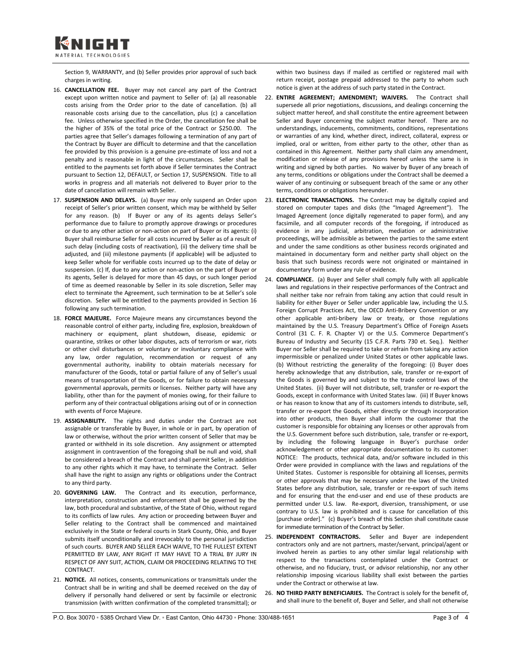

Section 9, WARRANTY, and (b) Seller provides prior approval of such back charges in writing.

- 16. **CANCELLATION FEE.** Buyer may not cancel any part of the Contract except upon written notice and payment to Seller of: (a) all reasonable costs arising from the Order prior to the date of cancellation. (b) all reasonable costs arising due to the cancellation, plus (c) a cancellation fee. Unless otherwise specified in the Order, the cancellation fee shall be the higher of 35% of the total price of the Contract or \$250.00. The parties agree that Seller's damages following a termination of any part of the Contract by Buyer are difficult to determine and that the cancellation fee provided by this provision is a genuine pre-estimate of loss and not a penalty and is reasonable in light of the circumstances. Seller shall be entitled to the payments set forth above if Seller terminates the Contract pursuant to Section 12, DEFAULT, or Section 17, SUSPENSION. Title to all works in progress and all materials not delivered to Buyer prior to the date of cancellation will remain with Seller.
- 17. **SUSPENSION AND DELAYS.** (a) Buyer may only suspend an Order upon receipt of Seller's prior written consent, which may be withheld by Seller for any reason. (b) If Buyer or any of its agents delays Seller's performance due to failure to promptly approve drawings or procedures or due to any other action or non-action on part of Buyer or its agents: (i) Buyer shall reimburse Seller for all costs incurred by Seller as of a result of such delay (including costs of reactivation), (ii) the delivery time shall be adjusted, and (iii) milestone payments (if applicable) will be adjusted to keep Seller whole for verifiable costs incurred up to the date of delay or suspension. (c) If, due to any action or non-action on the part of Buyer or its agents, Seller is delayed for more than 45 days, or such longer period of time as deemed reasonable by Seller in its sole discretion, Seller may elect to terminate the Agreement, such termination to be at Seller's sole discretion. Seller will be entitled to the payments provided in Section 16 following any such termination.
- 18. **FORCE MAJEURE.** Force Majeure means any circumstances beyond the reasonable control of either party, including fire, explosion, breakdown of machinery or equipment, plant shutdown, disease, epidemic or quarantine, strikes or other labor disputes, acts of terrorism or war, riots or other civil disturbances or voluntary or involuntary compliance with any law, order regulation, recommendation or request of any governmental authority, inability to obtain materials necessary for manufacturer of the Goods, total or partial failure of any of Seller's usual means of transportation of the Goods, or for failure to obtain necessary governmental approvals, permits or licenses. Neither party will have any liability, other than for the payment of monies owing, for their failure to perform any of their contractual obligations arising out of or in connection with events of Force Majeure.
- 19. **ASSIGNABILITY.** The rights and duties under the Contract are not assignable or transferable by Buyer, in whole or in part, by operation of law or otherwise, without the prior written consent of Seller that may be granted or withheld in its sole discretion. Any assignment or attempted assignment in contravention of the foregoing shall be null and void, shall be considered a breach of the Contract and shall permit Seller, in addition to any other rights which it may have, to terminate the Contract. Seller shall have the right to assign any rights or obligations under the Contract to any third party.
- 20. **GOVERNING LAW.** The Contract and its execution, performance, interpretation, construction and enforcement shall be governed by the law, both procedural and substantive, of the State of Ohio, without regard to its conflicts of law rules. Any action or proceeding between Buyer and Seller relating to the Contract shall be commenced and maintained exclusively in the State or federal courts in Stark County, Ohio, and Buyer submits itself unconditionally and irrevocably to the personal jurisdiction of such courts. BUYER AND SELLER EACH WAIVE, TO THE FULLEST EXTENT PERMITTED BY LAW, ANY RIGHT IT MAY HAVE TO A TRIAL BY JURY IN RESPECT OF ANY SUIT, ACTION, CLAIM OR PROCEEDING RELATING TO THE CONTRACT.
- 21. **NOTICE.** All notices, consents, communications or transmittals under the Contract shall be in writing and shall be deemed received on the day of delivery if personally hand delivered or sent by facsimile or electronic transmission (with written confirmation of the completed transmittal); or

within two business days if mailed as certified or registered mail with return receipt, postage prepaid addressed to the party to whom such notice is given at the address of such party stated in the Contract.

- 22. **ENTIRE AGREEMENT; AMENDMENT; WAIVERS.** The Contract shall supersede all prior negotiations, discussions, and dealings concerning the subject matter hereof, and shall constitute the entire agreement between Seller and Buyer concerning the subject matter hereof. There are no understandings, inducements, commitments, conditions, representations or warranties of any kind, whether direct, indirect, collateral, express or implied, oral or written, from either party to the other, other than as contained in this Agreement. Neither party shall claim any amendment, modification or release of any provisions hereof unless the same is in writing and signed by both parties. No waiver by Buyer of any breach of any terms, conditions or obligations under the Contract shall be deemed a waiver of any continuing or subsequent breach of the same or any other terms, conditions or obligations hereunder.
- 23. **ELECTRONIC TRANSACTIONS.** The Contract may be digitally copied and stored on computer tapes and disks (the "Imaged Agreement"). The Imaged Agreement (once digitally regenerated to paper form), and any facsimile, and all computer records of the foregoing, if introduced as evidence in any judicial, arbitration, mediation or administrative proceedings, will be admissible as between the parties to the same extent and under the same conditions as other business records originated and maintained in documentary form and neither party shall object on the basis that such business records were not originated or maintained in documentary form under any rule of evidence.
- 24. **COMPLIANCE.** (a) Buyer and Seller shall comply fully with all applicable laws and regulations in their respective performances of the Contract and shall neither take nor refrain from taking any action that could result in liability for either Buyer or Seller under applicable law, including the U.S. Foreign Corrupt Practices Act, the OECD Anti-Bribery Convention or any other applicable anti-bribery law or treaty, or those regulations maintained by the U.S. Treasury Department's Office of Foreign Assets Control (31 C. F. R. Chapter V) or the U.S. Commerce Department's Bureau of Industry and Security (15 C.F.R. Parts 730 et. Seq.). Neither Buyer nor Seller shall be required to take or refrain from taking any action impermissible or penalized under United States or other applicable laws. (b) Without restricting the generality of the foregoing: (i) Buyer does hereby acknowledge that any distribution, sale, transfer or re-export of the Goods is governed by and subject to the trade control laws of the United States. (ii) Buyer will not distribute, sell, transfer or re-export the Goods, except in conformance with United States law. (iii) If Buyer knows or has reason to know that any of its customers intends to distribute, sell, transfer or re-export the Goods, either directly or through incorporation into other products, then Buyer shall inform the customer that the customer is responsible for obtaining any licenses or other approvals from the U.S. Government before such distribution, sale, transfer or re-export, by including the following language in Buyer's purchase order acknowledgement or other appropriate documentation to its customer: NOTICE: The products, technical data, and/or software included in this Order were provided in compliance with the laws and regulations of the United States. Customer is responsible for obtaining all licenses, permits or other approvals that may be necessary under the laws of the United States before any distribution, sale, transfer or re-export of such items and for ensuring that the end-user and end use of these products are permitted under U.S. law. Re-export, diversion, transshipment, or use contrary to U.S. law is prohibited and is cause for cancellation of this [purchase order]." (c) Buyer's breach of this Section shall constitute cause for immediate termination of the Contract by Seller.
- 25. **INDEPENDENT CONTRACTORS.** Seller and Buyer are independent contractors only and are not partners, master/servant, principal/agent or involved herein as parties to any other similar legal relationship with respect to the transactions contemplated under the Contract or otherwise, and no fiduciary, trust, or advisor relationship, nor any other relationship imposing vicarious liability shall exist between the parties under the Contract or otherwise at law.
- 26. **NO THIRD PARTY BENEFICIARIES.** The Contract is solely for the benefit of, and shall inure to the benefit of, Buyer and Seller, and shall not otherwise